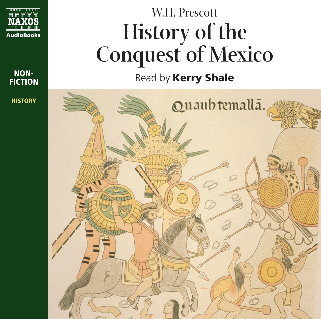

**NON-FICTION HISTORY**

# W.H. Prescott **History of the Conquest of Mexico**

Read by **Kerry Shale**

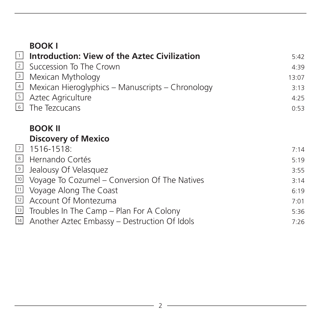|    | <b>BOOK I</b><br><u><del>1</del></u> <b>Introduction: View of the Aztec Civilization</b><br>$\frac{2}{\sqrt{3}}$ Succession To The Crown<br>$\frac{3}{\sqrt{3}}$ Mexican Mythology<br>$\frac{4}{\sqrt{3}}$ Mexican Hieroglyphics – Manuscripts – Chronology<br>$\frac{5}{\sqrt{3}}$ Aztec Agriculture<br>6 The Tezcucans | 5:42<br>4:39<br>13:07<br>3:13<br>4:25<br>0:53 |
|----|--------------------------------------------------------------------------------------------------------------------------------------------------------------------------------------------------------------------------------------------------------------------------------------------------------------------------|-----------------------------------------------|
|    | <b>BOOK II</b><br><b>Discovery of Mexico</b>                                                                                                                                                                                                                                                                             |                                               |
|    | $\frac{7}{8}$ 1516-1518:<br>El Hernando Cortés                                                                                                                                                                                                                                                                           | 7:14                                          |
|    | <b>a</b> Jealousy Of Velasquez                                                                                                                                                                                                                                                                                           | 5:19<br>3:55                                  |
|    |                                                                                                                                                                                                                                                                                                                          | 3:14                                          |
|    | <b>10</b> Voyage To Cozumel – Conversion Of The Natives<br>$\frac{11}{21}$ Voyage Along The Coast<br><b>21</b> Account Of Montezuma                                                                                                                                                                                      | 6:19                                          |
|    |                                                                                                                                                                                                                                                                                                                          | 7:01                                          |
|    | <sup>13</sup> Troubles In The Camp - Plan For A Colony                                                                                                                                                                                                                                                                   | 5:36                                          |
| 14 | Another Aztec Embassy – Destruction Of Idols                                                                                                                                                                                                                                                                             | 7:26                                          |
|    |                                                                                                                                                                                                                                                                                                                          |                                               |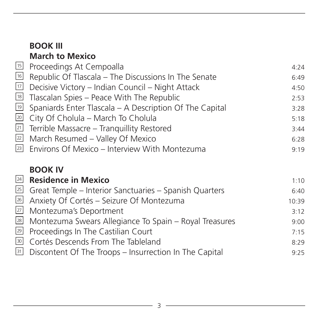## **BOOK III March to Mexico**

|                 | <sup>15</sup> Proceedings At Cempoalla                                  | 4:24 |
|-----------------|-------------------------------------------------------------------------|------|
|                 | <sup>16</sup> Republic Of Tlascala - The Discussions In The Senate      | 6:49 |
|                 | $\overline{v}$ Decisive Victory – Indian Council – Night Attack         | 4:50 |
|                 | <sup>18</sup> Tlascalan Spies – Peace With The Republic                 | 2:53 |
|                 | $\overline{19}$ Spaniards Enter Tlascala – A Description Of The Capital | 3:28 |
|                 | 20 City Of Cholula - March To Cholula                                   | 5:18 |
| 21              | Terrible Massacre - Tranquillity Restored                               | 3:44 |
| $\overline{22}$ | March Resumed - Valley Of Mexico                                        | 6:28 |
|                 | <sup>23</sup> Environs Of Mexico - Interview With Montezuma             | 9:19 |
|                 | <b>BOOK IV</b>                                                          |      |
|                 | 24 Residence in Mexico                                                  | 1:10 |
| 25              | Great Temple – Interior Sanctuaries – Spanish Quarters                  | 6:40 |
| ╦ा              |                                                                         |      |

| 26 Anxiety Of Cortés – Seizure Of Montezuma                      | 10:39 |
|------------------------------------------------------------------|-------|
| 27 Montezuma's Deportment                                        | 3:12  |
| 28 Montezuma Swears Allegiance To Spain - Royal Treasures        | 9:00  |
| 29 Proceedings In The Castilian Court                            | 7:15  |
| <b>BO</b> Cortés Descends From The Tableland                     | 8:29  |
| <b>B1</b> Discontent Of The Troops – Insurrection In The Capital | 9:25  |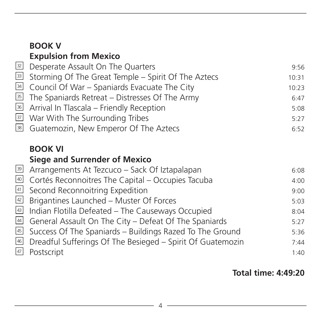#### **Expulsion from Mexico** Desperate Assault On The Quarters 9:56 33 Storming Of The Great Temple – Spirit Of The Aztecs 10:31 Council Of War – Spaniards Evacuate The City 10:23 <sup>35</sup> The Spaniards Retreat – Distresses Of The Army The Spaniards 6:47 Arrival In Tlascala – Friendly Reception 5:08 36 <sup>37</sup> War With The Surrounding Tribes **5:27** Guatemozin, New Emperor Of The Aztecs 6:52 **BOOK VI Siege and Surrender of Mexico**  <u>39</u> Arrangements At Tezcuco – Sack Of Iztapalapan and the same of  $6:08$ 40 Cortés Reconnoitres The Capital – Occupies Tacuba 41 Second Reconnoitring Expedition and the state of the second second second second second second second second <sup>42</sup> Brigantines Launched – Muster Of Forces **5:03** 43 Indian Flotilla Defeated – The Causeways Occupied 8:04 44 General Assault On The City – Defeat Of The Spaniards **5:27** <sup>45</sup> Success Of The Spaniards – Buildings Razed To The Ground 5:36 46 Dreadful Sufferings Of The Besieged – Spirit Of Guatemozin 7:44 Postscript and the contract of the contract of the contract of the contract of the contract of the contract of the contract of the contract of the contract of the contract of the contract of the contract of the contract of  $\sqrt{47}$ 38 34 32

**BOOK V** 

**Total time: 4:49:20**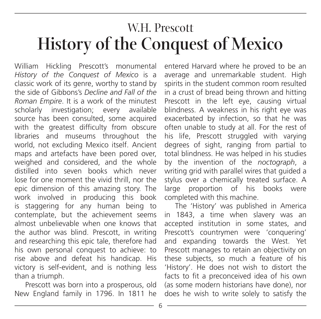# W.H. Prescott **History of the Conquest of Mexico**

William Hickling Prescott's monumental *History of the Conquest of Mexico* is a classic work of its genre, worthy to stand by the side of Gibbons's *Decline and Fall of the Roman Empire*. It is a work of the minutest scholarly investigation; every available source has been consulted, some acquired with the greatest difficulty from obscure libraries and museums throughout the world, not excluding Mexico itself. Ancient maps and artefacts have been pored over, weighed and considered, and the whole distilled into seven books which never lose for one moment the vivid thrill, nor the epic dimension of this amazing story. The work involved in producing this book is staggering for any human being to contemplate, but the achievement seems almost unbelievable when one knows that the author was blind. Prescott, in writing and researching this epic tale, therefore had his own personal conquest to achieve: to rise above and defeat his handicap. His victory is self-evident, and is nothing less than a triumph.

Prescott was born into a prosperous, old New England family in 1796. In 1811 he entered Harvard where he proved to be an average and unremarkable student. High spirits in the student common room resulted in a crust of bread being thrown and hitting Prescott in the left eye, causing virtual blindness. A weakness in his right eye was exacerbated by infection, so that he was often unable to study at all. For the rest of his life, Prescott struggled with varying degrees of sight, ranging from partial to total blindness. He was helped in his studies by the invention of the *noctograph*, a writing grid with parallel wires that guided a stylus over a chemically treated surface. A large proportion of his books were completed with this machine.

The 'History' was published in America in 1843, a time when slavery was an accepted institution in some states, and Prescott's countrymen were 'conquering' and expanding towards the West. Yet Prescott manages to retain an objectivity on these subjects, so much a feature of his 'History'. He does not wish to distort the facts to fit a preconceived idea of his own (as some modern historians have done), nor does he wish to write solely to satisfy the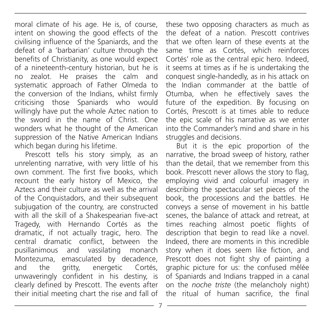moral climate of his age. He is, of course, intent on showing the good effects of the civilising influence of the Spaniards, and the defeat of a 'barbarian' culture through the benefits of Christianity, as one would expect of a nineteenth-century historian, but he is no zealot. He praises the calm and systematic approach of Father Olmeda to the conversion of the Indians, whilst firmly criticising those Spaniards who would willingly have put the whole Aztec nation to the sword in the name of Christ. One wonders what he thought of the American suppression of the Native American Indians which began during his lifetime.

Prescott tells his story simply, as an unrelenting narrative, with very little of his own comment. The first five books, which recount the early history of Mexico, the Aztecs and their culture as well as the arrival of the Conquistadors, and their subsequent subjugation of the country, are constructed with all the skill of a Shakespearian five-act Tragedy, with Hernando Cortés as the dramatic, if not actually tragic, hero. The central dramatic conflict, between the pusillanimous and vassilating monarch Montezuma, emasculated by decadence, and the gritty, energetic Cortés, unwaveringly confident in his destiny, is clearly defined by Prescott. The events after their initial meeting chart the rise and fall of

these two opposing characters as much as the defeat of a nation. Prescott contrives that we often learn of these events at the same time as Cortés, which reinforces Cortés' role as the central epic hero. Indeed, it seems at times as if he is undertaking the conquest single-handedly, as in his attack on the Indian commander at the battle of Otumba, when he effectively saves the future of the expedition. By focusing on Cortés, Prescott is at times able to reduce the epic scale of his narrative as we enter into the Commander's mind and share in his struggles and decisions.

But it is the epic proportion of the narrative, the broad sweep of history, rather than the detail, that we remember from this book. Prescott never allows the story to flag, employing vivid and colourful imagery in describing the spectacular set pieces of the book, the processions and the battles. He conveys a sense of movement in his battle scenes, the balance of attack and retreat, at times reaching almost poetic flights of description that begin to read like a novel. Indeed, there are moments in this incredible story when it does seem like fiction, and Prescott does not fight shy of painting a graphic picture for us: the confused mêlée of Spaniards and Indians trapped in a canal on the *noche triste* (the melancholy night) the ritual of human sacrifice, the final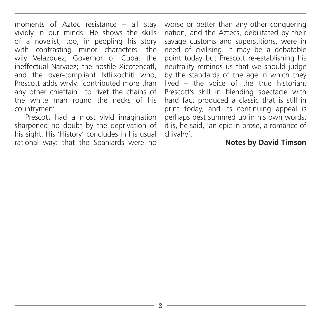moments of Aztec resistance – all stay vividly in our minds. He shows the skills of a novelist, too, in peopling his story with contrasting minor characters: the wily Velazquez, Governor of Cuba; the ineffectual Narvaez; the hostile Xicotencatl, and the over-compliant Ixtlilxochitl who, Prescott adds wryly, 'contributed more than any other chieftain…to rivet the chains of the white man round the necks of his countrymen'.

Prescott had a most vivid imagination sharpened no doubt by the deprivation of his sight. His 'History' concludes in his usual rational way: that the Spaniards were no worse or better than any other conquering nation, and the Aztecs, debilitated by their savage customs and superstitions, were in need of civilising. It may be a debatable point today but Prescott re-establishing his neutrality reminds us that we should judge by the standards of the age in which they lived – the voice of the true historian. Prescott's skill in blending spectacle with hard fact produced a classic that is still in print today, and its continuing appeal is perhaps best summed up in his own words: it is, he said, 'an epic in prose, a romance of chivalry'.

#### **Notes by David Timson**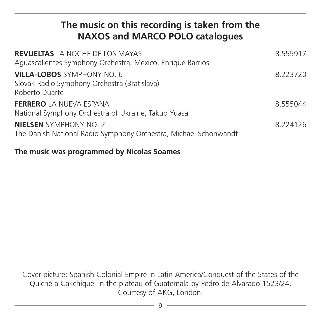### **The music on this recording is taken from the NAXOS and MARCO POLO catalogues**

| <b>REVUELTAS LA NOCHE DE LOS MAYAS</b><br>Aguascalientes Symphony Orchestra, Mexico, Enrique Barrios | 8.555917 |
|------------------------------------------------------------------------------------------------------|----------|
| <b>VILLA-LOBOS SYMPHONY NO. 6</b><br>Slovak Radio Symphony Orchestra (Bratislava)<br>Roberto Duarte  | 8.223720 |
| <b>FERRERO</b> LA NUEVA ESPANA<br>National Symphony Orchestra of Ukraine, Takuo Yuasa                | 8.555044 |
| <b>NIELSEN</b> SYMPHONY NO. 2<br>The Danish National Radio Symphony Orchestra, Michael Schonwandt    | 8.224126 |

#### **The music was programmed by Nicolas Soames**

Cover picture: Spanish Colonial Empire in Latin America/Conquest of the States of the Quiché a Cakchiquel in the plateau of Guatemala by Pedro de Alvarado 1523/24. Courtesy of AKG, London.